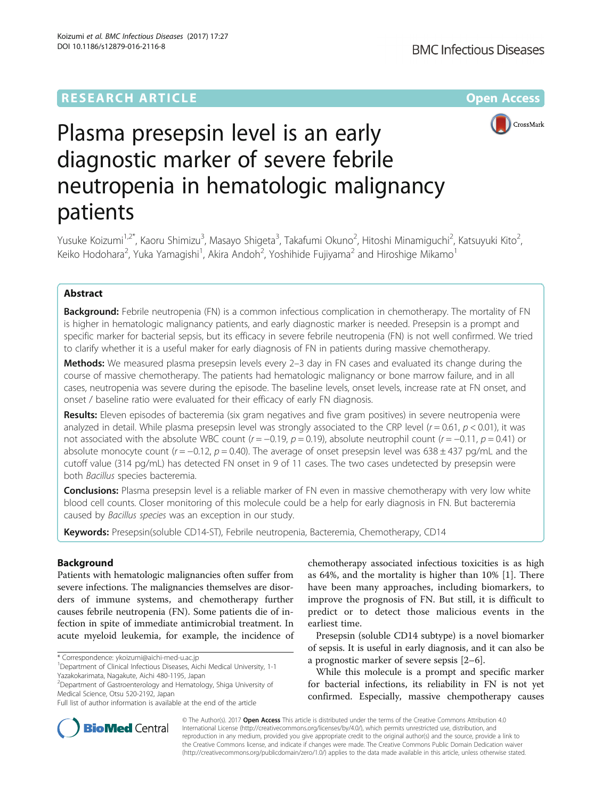

# Plasma presepsin level is an early diagnostic marker of severe febrile neutropenia in hematologic malignancy patients

Yusuke Koizumi<sup>1,2\*</sup>, Kaoru Shimizu<sup>3</sup>, Masayo Shigeta<sup>3</sup>, Takafumi Okuno<sup>2</sup>, Hitoshi Minamiguchi<sup>2</sup>, Katsuyuki Kito<sup>2</sup> .<br>, Keiko Hodohara<sup>2</sup>, Yuka Yamagishi<sup>1</sup>, Akira Andoh<sup>2</sup>, Yoshihide Fujiyama<sup>2</sup> and Hiroshige Mikamo<sup>1</sup>

# Abstract

**Background:** Febrile neutropenia (FN) is a common infectious complication in chemotherapy. The mortality of FN is higher in hematologic malignancy patients, and early diagnostic marker is needed. Presepsin is a prompt and specific marker for bacterial sepsis, but its efficacy in severe febrile neutropenia (FN) is not well confirmed. We tried to clarify whether it is a useful maker for early diagnosis of FN in patients during massive chemotherapy.

Methods: We measured plasma presepsin levels every 2-3 day in FN cases and evaluated its change during the course of massive chemotherapy. The patients had hematologic malignancy or bone marrow failure, and in all cases, neutropenia was severe during the episode. The baseline levels, onset levels, increase rate at FN onset, and onset / baseline ratio were evaluated for their efficacy of early FN diagnosis.

Results: Eleven episodes of bacteremia (six gram negatives and five gram positives) in severe neutropenia were analyzed in detail. While plasma presepsin level was strongly associated to the CRP level ( $r = 0.61$ ,  $p < 0.01$ ), it was not associated with the absolute WBC count ( $r = -0.19$ ,  $p = 0.19$ ), absolute neutrophil count ( $r = -0.11$ ,  $p = 0.41$ ) or absolute monocyte count ( $r = -0.12$ ,  $p = 0.40$ ). The average of onset presepsin level was 638 ± 437 pg/mL and the cutoff value (314 pg/mL) has detected FN onset in 9 of 11 cases. The two cases undetected by presepsin were both Bacillus species bacteremia.

**Conclusions:** Plasma presepsin level is a reliable marker of FN even in massive chemotherapy with very low white blood cell counts. Closer monitoring of this molecule could be a help for early diagnosis in FN. But bacteremia caused by Bacillus species was an exception in our study.

**Keywords:** Presepsin(soluble CD14-ST), Febrile neutropenia, Bacteremia, Chemotherapy, CD14

## Background

Patients with hematologic malignancies often suffer from severe infections. The malignancies themselves are disorders of immune systems, and chemotherapy further causes febrile neutropenia (FN). Some patients die of infection in spite of immediate antimicrobial treatment. In acute myeloid leukemia, for example, the incidence of

2 Department of Gastroenterology and Hematology, Shiga University of Medical Science, Otsu 520-2192, Japan

chemotherapy associated infectious toxicities is as high as 64%, and the mortality is higher than 10% [\[1](#page-7-0)]. There have been many approaches, including biomarkers, to improve the prognosis of FN. But still, it is difficult to predict or to detect those malicious events in the earliest time.

Presepsin (soluble CD14 subtype) is a novel biomarker of sepsis. It is useful in early diagnosis, and it can also be a prognostic marker of severe sepsis [\[2](#page-7-0)–[6\]](#page-7-0).

While this molecule is a prompt and specific marker for bacterial infections, its reliability in FN is not yet confirmed. Especially, massive chempotherapy causes



© The Author(s). 2017 **Open Access** This article is distributed under the terms of the Creative Commons Attribution 4.0 International License [\(http://creativecommons.org/licenses/by/4.0/](http://creativecommons.org/licenses/by/4.0/)), which permits unrestricted use, distribution, and reproduction in any medium, provided you give appropriate credit to the original author(s) and the source, provide a link to the Creative Commons license, and indicate if changes were made. The Creative Commons Public Domain Dedication waiver [\(http://creativecommons.org/publicdomain/zero/1.0/](http://creativecommons.org/publicdomain/zero/1.0/)) applies to the data made available in this article, unless otherwise stated.

<sup>\*</sup> Correspondence: [ykoizumi@aichi-med-u.ac.jp](mailto:ykoizumi@aichi-med-u.ac.jp) <sup>1</sup>

<sup>&</sup>lt;sup>1</sup> Department of Clinical Infectious Diseases, Aichi Medical University, 1-1 Yazakokarimata, Nagakute, Aichi 480-1195, Japan

Full list of author information is available at the end of the article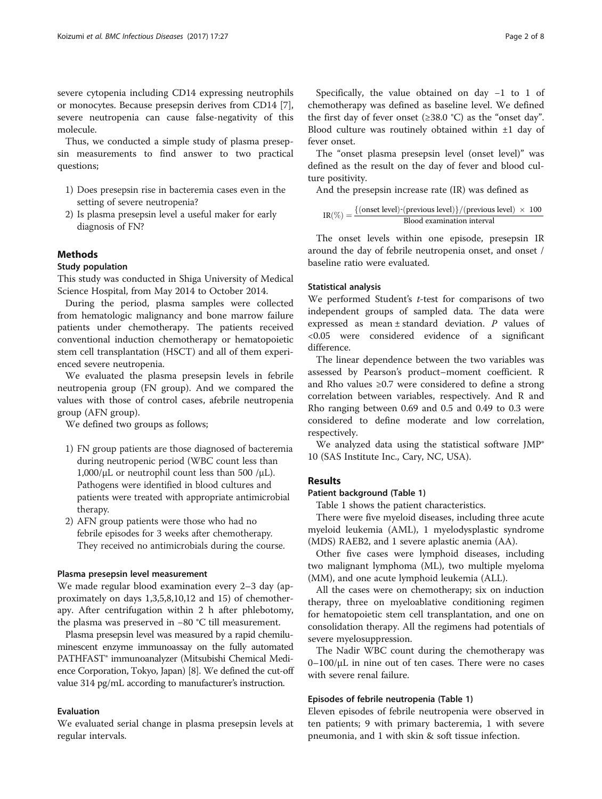severe cytopenia including CD14 expressing neutrophils or monocytes. Because presepsin derives from CD14 [\[7](#page-7-0)], severe neutropenia can cause false-negativity of this molecule.

Thus, we conducted a simple study of plasma presepsin measurements to find answer to two practical questions;

- 1) Does presepsin rise in bacteremia cases even in the setting of severe neutropenia?
- 2) Is plasma presepsin level a useful maker for early diagnosis of FN?

## Methods

## Study population

This study was conducted in Shiga University of Medical Science Hospital, from May 2014 to October 2014.

During the period, plasma samples were collected from hematologic malignancy and bone marrow failure patients under chemotherapy. The patients received conventional induction chemotherapy or hematopoietic stem cell transplantation (HSCT) and all of them experienced severe neutropenia.

We evaluated the plasma presepsin levels in febrile neutropenia group (FN group). And we compared the values with those of control cases, afebrile neutropenia group (AFN group).

We defined two groups as follows;

- 1) FN group patients are those diagnosed of bacteremia during neutropenic period (WBC count less than 1,000/μL or neutrophil count less than 500 /μL). Pathogens were identified in blood cultures and patients were treated with appropriate antimicrobial therapy.
- 2) AFN group patients were those who had no febrile episodes for 3 weeks after chemotherapy. They received no antimicrobials during the course.

## Plasma presepsin level measurement

We made regular blood examination every 2–3 day (approximately on days 1,3,5,8,10,12 and 15) of chemotherapy. After centrifugation within 2 h after phlebotomy, the plasma was preserved in −80 °C till measurement.

Plasma presepsin level was measured by a rapid chemiluminescent enzyme immunoassay on the fully automated PATHFAST® immunoanalyzer (Mitsubishi Chemical Medience Corporation, Tokyo, Japan) [\[8\]](#page-7-0). We defined the cut-off value 314 pg/mL according to manufacturer's instruction.

## Evaluation

We evaluated serial change in plasma presepsin levels at regular intervals.

Specifically, the value obtained on day −1 to 1 of chemotherapy was defined as baseline level. We defined the first day of fever onset ( $\geq 38.0$  °C) as the "onset day". Blood culture was routinely obtained within ±1 day of fever onset.

The "onset plasma presepsin level (onset level)" was defined as the result on the day of fever and blood culture positivity.

And the presepsin increase rate (IR) was defined as

$$
IR(\%) = \frac{{\text{[onset level)}}{\text{[previous level]}} / {\text{(previous level)}} \times 100}{\text{ Blood examination interval}}
$$

The onset levels within one episode, presepsin IR around the day of febrile neutropenia onset, and onset / baseline ratio were evaluated.

## Statistical analysis

We performed Student's  $t$ -test for comparisons of two independent groups of sampled data. The data were expressed as mean  $\pm$  standard deviation. P values of <0.05 were considered evidence of a significant difference.

The linear dependence between the two variables was assessed by Pearson's product–moment coefficient. R and Rho values ≥0.7 were considered to define a strong correlation between variables, respectively. And R and Rho ranging between 0.69 and 0.5 and 0.49 to 0.3 were considered to define moderate and low correlation, respectively.

We analyzed data using the statistical software JMP® 10 (SAS Institute Inc., Cary, NC, USA).

### Results

### Patient background (Table [1\)](#page-2-0)

Table [1](#page-2-0) shows the patient characteristics.

There were five myeloid diseases, including three acute myeloid leukemia (AML), 1 myelodysplastic syndrome (MDS) RAEB2, and 1 severe aplastic anemia (AA).

Other five cases were lymphoid diseases, including two malignant lymphoma (ML), two multiple myeloma (MM), and one acute lymphoid leukemia (ALL).

All the cases were on chemotherapy; six on induction therapy, three on myeloablative conditioning regimen for hematopoietic stem cell transplantation, and one on consolidation therapy. All the regimens had potentials of severe myelosuppression.

The Nadir WBC count during the chemotherapy was  $0-100/\mu L$  in nine out of ten cases. There were no cases with severe renal failure.

## Episodes of febrile neutropenia (Table [1\)](#page-2-0)

Eleven episodes of febrile neutropenia were observed in ten patients; 9 with primary bacteremia, 1 with severe pneumonia, and 1 with skin & soft tissue infection.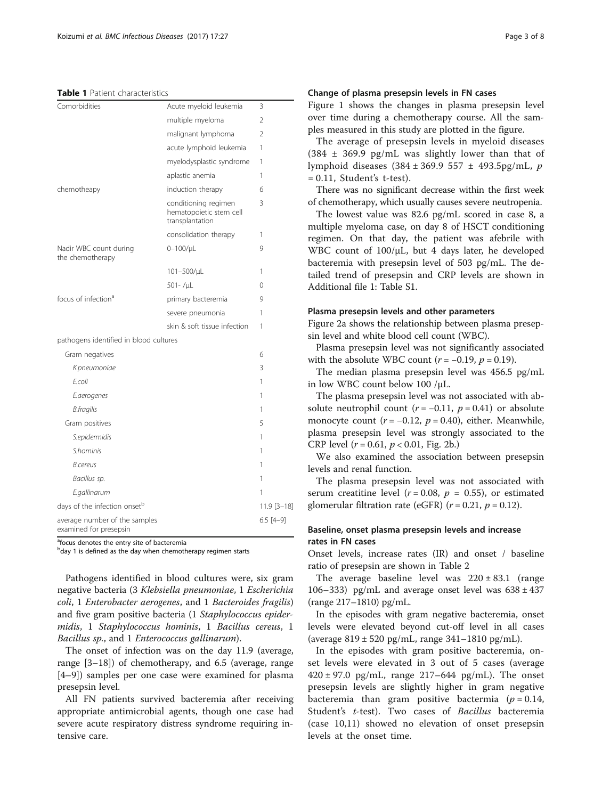## <span id="page-2-0"></span>Table 1 Patient characteristics

| Comorbidities                                           | Acute myeloid leukemia                                             | 3              |
|---------------------------------------------------------|--------------------------------------------------------------------|----------------|
|                                                         | multiple myeloma                                                   | $\mathfrak{D}$ |
|                                                         | malignant lymphoma                                                 | 2              |
|                                                         | acute lymphoid leukemia                                            | 1              |
|                                                         | myelodysplastic syndrome                                           | 1              |
|                                                         | aplastic anemia                                                    | 1              |
| chemotheapy                                             | induction therapy                                                  | 6              |
|                                                         | conditioning regimen<br>hematopoietic stem cell<br>transplantation | 3              |
|                                                         | consolidation therapy                                              | 1              |
| Nadir WBC count during<br>the chemotherapy              | $0 - 100$ / $\mu$ L                                                | 9              |
|                                                         | 101-500/µL                                                         | 1              |
|                                                         | $501 - / \mu$                                                      | 0              |
| focus of infection <sup>a</sup>                         | primary bacteremia                                                 | 9              |
|                                                         | severe pneumonia                                                   | 1              |
|                                                         | skin & soft tissue infection                                       | 1              |
| pathogens identified in blood cultures                  |                                                                    |                |
| Gram negatives                                          |                                                                    | 6              |
| K.pneumoniae                                            |                                                                    | 3              |
| E.coli                                                  |                                                                    | 1              |
| E.aerogenes                                             |                                                                    | 1              |
| <b>B.fragilis</b>                                       |                                                                    | 1              |
| Gram positives                                          |                                                                    | 5              |
| S.epidermidis                                           |                                                                    | 1              |
| <i>S.hominis</i>                                        |                                                                    | 1              |
| <b>B.cereus</b>                                         |                                                                    | 1              |
| Bacillus sp.                                            |                                                                    | 1              |
| E.gallinarum                                            |                                                                    | 1              |
| days of the infection onset <sup>b</sup>                |                                                                    | 11.9 [3-18]    |
| average number of the samples<br>examined for presepsin |                                                                    | $6.5$ [4-9]    |

<sup>a</sup>focus denotes the entry site of bacteremia

<sup>b</sup>day 1 is defined as the day when chemotherapy regimen starts

Pathogens identified in blood cultures were, six gram negative bacteria (3 Klebsiella pneumoniae, 1 Escherichia coli, 1 Enterobacter aerogenes, and 1 Bacteroides fragilis) and five gram positive bacteria (1 Staphylococcus epidermidis, 1 Staphylococcus hominis, 1 Bacillus cereus, 1 Bacillus sp., and 1 Enterococcus gallinarum).

The onset of infection was on the day 11.9 (average, range [3–18]) of chemotherapy, and 6.5 (average, range [4–9]) samples per one case were examined for plasma presepsin level.

All FN patients survived bacteremia after receiving appropriate antimicrobial agents, though one case had severe acute respiratory distress syndrome requiring intensive care.

## Change of plasma presepsin levels in FN cases

Figure [1](#page-3-0) shows the changes in plasma presepsin level over time during a chemotherapy course. All the samples measured in this study are plotted in the figure.

The average of presepsin levels in myeloid diseases  $(384 \pm 369.9 \text{ pg/mL}$  was slightly lower than that of lymphoid diseases (384 ± 369.9 557 ± 493.5pg/mL, p  $= 0.11$ , Student's t-test).

There was no significant decrease within the first week of chemotherapy, which usually causes severe neutropenia.

The lowest value was 82.6 pg/mL scored in case 8, a multiple myeloma case, on day 8 of HSCT conditioning regimen. On that day, the patient was afebrile with WBC count of 100/μL, but 4 days later, he developed bacteremia with presepsin level of 503 pg/mL. The detailed trend of presepsin and CRP levels are shown in Additional file [1](#page-6-0): Table S1.

#### Plasma presepsin levels and other parameters

Figure [2a](#page-3-0) shows the relationship between plasma presepsin level and white blood cell count (WBC).

Plasma presepsin level was not significantly associated with the absolute WBC count  $(r = -0.19, p = 0.19)$ .

The median plasma presepsin level was 456.5 pg/mL in low WBC count below 100 /μL.

The plasma presepsin level was not associated with absolute neutrophil count ( $r = -0.11$ ,  $p = 0.41$ ) or absolute monocyte count ( $r = -0.12$ ,  $p = 0.40$ ), either. Meanwhile, plasma presepsin level was strongly associated to the CRP level  $(r = 0.61, p < 0.01,$  Fig. [2b.](#page-3-0))

We also examined the association between presepsin levels and renal function.

The plasma presepsin level was not associated with serum creatitine level ( $r = 0.08$ ,  $p = 0.55$ ), or estimated glomerular filtration rate (eGFR) ( $r = 0.21$ ,  $p = 0.12$ ).

## Baseline, onset plasma presepsin levels and increase rates in FN cases

Onset levels, increase rates (IR) and onset / baseline ratio of presepsin are shown in Table [2](#page-4-0)

The average baseline level was  $220 \pm 83.1$  (range 106–333) pg/mL and average onset level was  $638 \pm 437$ (range 217–1810) pg/mL.

In the episodes with gram negative bacteremia, onset levels were elevated beyond cut-off level in all cases (average 819 ± 520 pg/mL, range 341–1810 pg/mL).

In the episodes with gram positive bacteremia, onset levels were elevated in 3 out of 5 cases (average  $420 \pm 97.0$  pg/mL, range 217–644 pg/mL). The onset presepsin levels are slightly higher in gram negative bacteremia than gram positive bactermia ( $p = 0.14$ , Student's t-test). Two cases of Bacillus bacteremia (case 10,11) showed no elevation of onset presepsin levels at the onset time.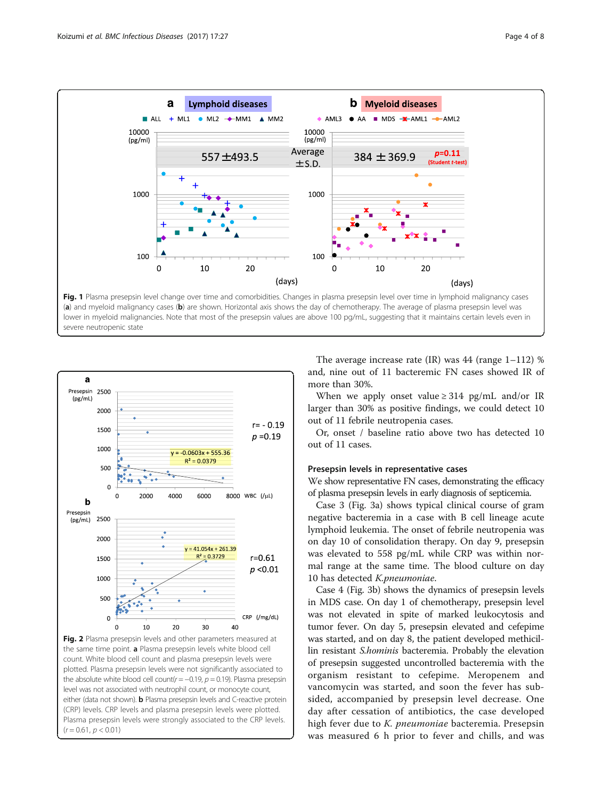<span id="page-3-0"></span>

lower in myeloid malignancies. Note that most of the presepsin values are above 100 pg/mL, suggesting that it maintains certain levels even in severe neutropenic state



Fig. 2 Plasma presepsin levels and other parameters measured at the same time point. a Plasma presepsin levels white blood cell count. White blood cell count and plasma presepsin levels were plotted. Plasma presepsin levels were not significantly associated to the absolute white blood cell count( $r = -0.19$ ,  $p = 0.19$ ). Plasma presepsin level was not associated with neutrophil count, or monocyte count, either (data not shown). **b** Plasma presepsin levels and C-reactive protein (CRP) levels. CRP levels and plasma presepsin levels were plotted. Plasma presepsin levels were strongly associated to the CRP levels.  $(r = 0.61, p < 0.01)$ 

The average increase rate  $(IR)$  was 44 (range 1–112) % and, nine out of 11 bacteremic FN cases showed IR of more than 30%.

When we apply onset value  $\geq$  314 pg/mL and/or IR larger than 30% as positive findings, we could detect 10 out of 11 febrile neutropenia cases.

Or, onset / baseline ratio above two has detected 10 out of 11 cases.

## Presepsin levels in representative cases

We show representative FN cases, demonstrating the efficacy of plasma presepsin levels in early diagnosis of septicemia.

Case 3 (Fig. [3a\)](#page-5-0) shows typical clinical course of gram negative bacteremia in a case with B cell lineage acute lymphoid leukemia. The onset of febrile neutropenia was on day 10 of consolidation therapy. On day 9, presepsin was elevated to 558 pg/mL while CRP was within normal range at the same time. The blood culture on day 10 has detected K.pneumoniae.

Case 4 (Fig. [3b\)](#page-5-0) shows the dynamics of presepsin levels in MDS case. On day 1 of chemotherapy, presepsin level was not elevated in spite of marked leukocytosis and tumor fever. On day 5, presepsin elevated and cefepime was started, and on day 8, the patient developed methicillin resistant S.hominis bacteremia. Probably the elevation of presepsin suggested uncontrolled bacteremia with the organism resistant to cefepime. Meropenem and vancomycin was started, and soon the fever has subsided, accompanied by presepsin level decrease. One day after cessation of antibiotics, the case developed high fever due to *K. pneumoniae* bacteremia. Presepsin was measured 6 h prior to fever and chills, and was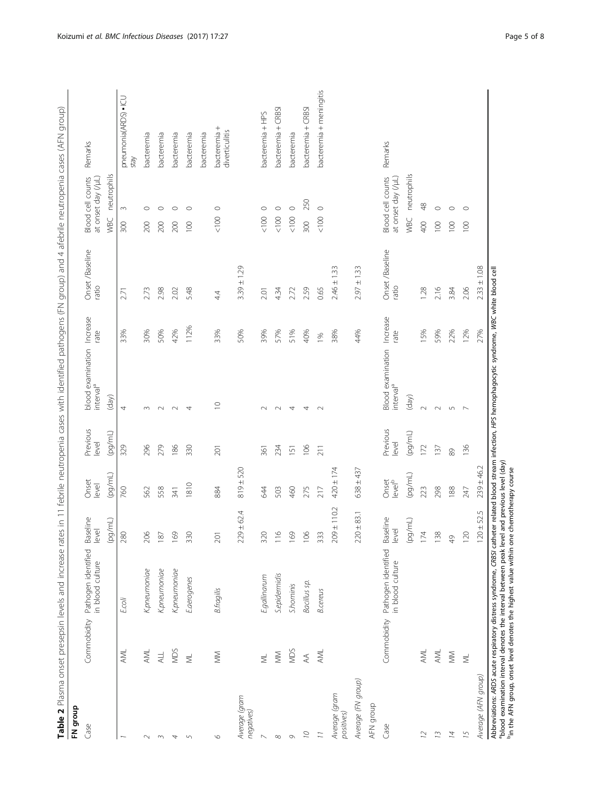<span id="page-4-0"></span>

| Pathogen identified<br>in blood culture<br>Kpneumoniae<br>Kpneumoniae<br>K.pneumoniae<br>S.epidernidis<br>E.gallinarum<br>Eaerogenes<br><b>B.fragilis</b><br>E.coli<br>Commobidity<br>NDS<br><b>AML</b><br>AML<br>$\geqslant$<br>$\lessapprox$<br><b>ALL</b><br>$\equiv$<br>$\equiv$<br>Average (gram<br>negatives)<br>Case<br>$\infty$<br>$\overline{\phantom{0}}$<br>$\sim$<br>$\overline{5}$<br>$\circ$<br>$\sim$<br>$\overline{\phantom{a}}$ | 280<br>206<br>169<br>330<br>187 | Baseline<br>level | Onset                       | Previous<br>level | blood examination                                 | Increase         | Onset /Baseline          | Blood cell counts                       | Remarks                        |
|--------------------------------------------------------------------------------------------------------------------------------------------------------------------------------------------------------------------------------------------------------------------------------------------------------------------------------------------------------------------------------------------------------------------------------------------------|---------------------------------|-------------------|-----------------------------|-------------------|---------------------------------------------------|------------------|--------------------------|-----------------------------------------|--------------------------------|
|                                                                                                                                                                                                                                                                                                                                                                                                                                                  |                                 |                   | level                       |                   | interval <sup>a</sup>                             | rate             | ratio                    | at onset day (/µL)                      |                                |
|                                                                                                                                                                                                                                                                                                                                                                                                                                                  |                                 | (pg/mL)           | (pg/ml)                     | (pg/mL)           | (day)                                             |                  |                          | neutrophils<br><b>VBC</b>               |                                |
|                                                                                                                                                                                                                                                                                                                                                                                                                                                  |                                 |                   | 760                         | 329               | 4                                                 | 33%              | 2.71                     | $\sim$<br>300                           | pneumonia(ARDS) . ICU<br>xtay  |
|                                                                                                                                                                                                                                                                                                                                                                                                                                                  |                                 |                   | 562                         | 296               | $\sim$                                            | 30%              | 2.73                     | $\circ$<br>200                          | bacteremia                     |
|                                                                                                                                                                                                                                                                                                                                                                                                                                                  |                                 |                   | 558                         | 279               | $\sim$                                            | 50%              | 2.98                     | $\circ$<br>200                          | bacteremia                     |
|                                                                                                                                                                                                                                                                                                                                                                                                                                                  |                                 |                   | 341                         | 186               | $\sim$                                            | 42%              | 2.02                     | $\circ$<br>200                          | bacteremia                     |
|                                                                                                                                                                                                                                                                                                                                                                                                                                                  |                                 |                   | 1810                        | 330               | 4                                                 | 112%             | 5.48                     | $\circ$<br>100                          | bacteremia                     |
|                                                                                                                                                                                                                                                                                                                                                                                                                                                  |                                 |                   |                             |                   |                                                   |                  |                          |                                         | bacteremia                     |
|                                                                                                                                                                                                                                                                                                                                                                                                                                                  | 201                             |                   | 884                         | 201               | $\supseteq$                                       | 33%              | 4.4                      | $\circ$<br>$<100$                       | bacteremia +<br>diverticulitis |
|                                                                                                                                                                                                                                                                                                                                                                                                                                                  |                                 | $229 \pm 62.4$    | $819 \pm 520$               |                   |                                                   | 50%              | $3.39 \pm 1.29$          |                                         |                                |
|                                                                                                                                                                                                                                                                                                                                                                                                                                                  | 320                             |                   | $\mathcal{A}$               | 361               | $\sim$                                            | 39%              | 2.01                     | $\circ$<br>< 100                        | bacteremia + HPS               |
|                                                                                                                                                                                                                                                                                                                                                                                                                                                  | $\equiv$                        | $\circ$           | 503                         | 234               | $\sim$                                            | 57%              | 4.34                     | $\circ$<br>100                          | bacteremia + CRBSI             |
| <b>S.hominis</b><br>NDS<br>$\mathcal{O}$                                                                                                                                                                                                                                                                                                                                                                                                         | $\tilde{\sigma}$                | $\overline{O}$    | 460                         | 151               | 4                                                 | 51%              | 2.72                     | $\circ$<br>$<100$                       | bacteremia                     |
| Bacillus sp.<br>$\stackrel{\triangle}{\leadsto}$<br>$\overline{C}$                                                                                                                                                                                                                                                                                                                                                                               | $\Xi$                           | $\mathbf{Q}$      | 275                         | 106               | 4                                                 | 40%              | 2.59                     | 250<br>300                              | bacteremia + CRBSI             |
| <b>B.cereus</b><br>AML<br>$\overline{11}$                                                                                                                                                                                                                                                                                                                                                                                                        | 33                              | w                 | 217                         | 211               | $\sim$                                            | 1%               | 0.65                     | $\circ$<br>$<100$                       | bacteremia + meningitis        |
| Average (gram<br>positives)                                                                                                                                                                                                                                                                                                                                                                                                                      |                                 | $209 \pm 110.2$   | $420 \pm 174$               |                   |                                                   | 38%              | 33<br>$2.46 \pm 1$       |                                         |                                |
| Average (FN group)                                                                                                                                                                                                                                                                                                                                                                                                                               |                                 | $220 \pm 83.1$    | $638 \pm 437$               |                   |                                                   | 44%              | $2.97 \pm 1.33$          |                                         |                                |
| AFN group                                                                                                                                                                                                                                                                                                                                                                                                                                        |                                 |                   |                             |                   |                                                   |                  |                          |                                         |                                |
| Commobidity Pathogen identified<br>in blood culture<br>Case                                                                                                                                                                                                                                                                                                                                                                                      | level                           | Baseline          | Onset<br>level <sup>b</sup> | Previous<br>level | <b>Blood</b> examination<br>interval <sup>a</sup> | Increase<br>rate | Onset /Baseline<br>ratio | at onset day (/µL)<br>Blood cell counts | Remarks                        |
|                                                                                                                                                                                                                                                                                                                                                                                                                                                  |                                 | (100/10)          | (pg/ml)                     | (pg/ml)           | (day)                                             |                  |                          | neutrophils<br>WBC                      |                                |
| AML<br>2                                                                                                                                                                                                                                                                                                                                                                                                                                         | $\overline{z}$                  | 4                 | 223                         | 172               | $\sim$                                            | 15%              | 1.28                     | $\frac{8}{3}$<br>400                    |                                |
| AML<br>13                                                                                                                                                                                                                                                                                                                                                                                                                                        | 138                             |                   | 298                         | 137               | $\sim$                                            | 59%              | 2.16                     | $\circ$<br>100                          |                                |
| $\geqslant$<br>$\overline{A}$                                                                                                                                                                                                                                                                                                                                                                                                                    | $\frac{1}{2}$                   |                   | 188                         | 89                | $\sqrt{2}$                                        | 22%              | 3.84                     | $\circ$<br>$\overline{100}$             |                                |
| $\equiv$<br>15                                                                                                                                                                                                                                                                                                                                                                                                                                   | 120                             |                   | 247                         | 136               | $\overline{\phantom{0}}$                          | 12%              | 2.06                     | $\circ$<br>$\overline{5}$               |                                |
| Average (AFN group)                                                                                                                                                                                                                                                                                                                                                                                                                              |                                 | $120 \pm 52.5$    | $239 \pm 46.2$              |                   |                                                   | 27%              | $2.33 \pm 1.08$          |                                         |                                |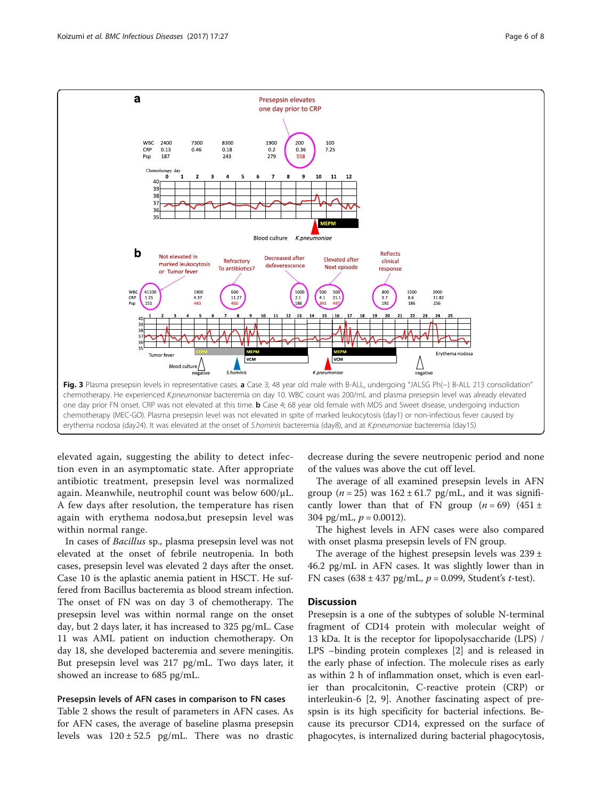<span id="page-5-0"></span>

elevated again, suggesting the ability to detect infection even in an asymptomatic state. After appropriate antibiotic treatment, presepsin level was normalized again. Meanwhile, neutrophil count was below 600/μL. A few days after resolution, the temperature has risen again with erythema nodosa,but presepsin level was within normal range.

In cases of Bacillus sp., plasma presepsin level was not elevated at the onset of febrile neutropenia. In both cases, presepsin level was elevated 2 days after the onset. Case 10 is the aplastic anemia patient in HSCT. He suffered from Bacillus bacteremia as blood stream infection. The onset of FN was on day 3 of chemotherapy. The presepsin level was within normal range on the onset day, but 2 days later, it has increased to 325 pg/mL. Case 11 was AML patient on induction chemotherapy. On day 18, she developed bacteremia and severe meningitis. But presepsin level was 217 pg/mL. Two days later, it showed an increase to 685 pg/mL.

#### Presepsin levels of AFN cases in comparison to FN cases

Table [2](#page-4-0) shows the result of parameters in AFN cases. As for AFN cases, the average of baseline plasma presepsin levels was  $120 \pm 52.5$  pg/mL. There was no drastic

decrease during the severe neutropenic period and none of the values was above the cut off level.

The average of all examined presepsin levels in AFN group ( $n = 25$ ) was  $162 \pm 61.7$  pg/mL, and it was significantly lower than that of FN group  $(n = 69)$  (451 ± 304 pg/mL,  $p = 0.0012$ ).

The highest levels in AFN cases were also compared with onset plasma presepsin levels of FN group.

The average of the highest presepsin levels was  $239 \pm$ 46.2 pg/mL in AFN cases. It was slightly lower than in FN cases (638 ± 437 pg/mL,  $p = 0.099$ , Student's t-test).

## **Discussion**

Presepsin is a one of the subtypes of soluble N-terminal fragment of CD14 protein with molecular weight of 13 kDa. It is the receptor for lipopolysaccharide (LPS) / LPS –binding protein complexes [[2\]](#page-7-0) and is released in the early phase of infection. The molecule rises as early as within 2 h of inflammation onset, which is even earlier than procalcitonin, C-reactive protein (CRP) or interleukin-6 [\[2](#page-7-0), [9\]](#page-7-0). Another fascinating aspect of prespsin is its high specificity for bacterial infections. Because its precursor CD14, expressed on the surface of phagocytes, is internalized during bacterial phagocytosis,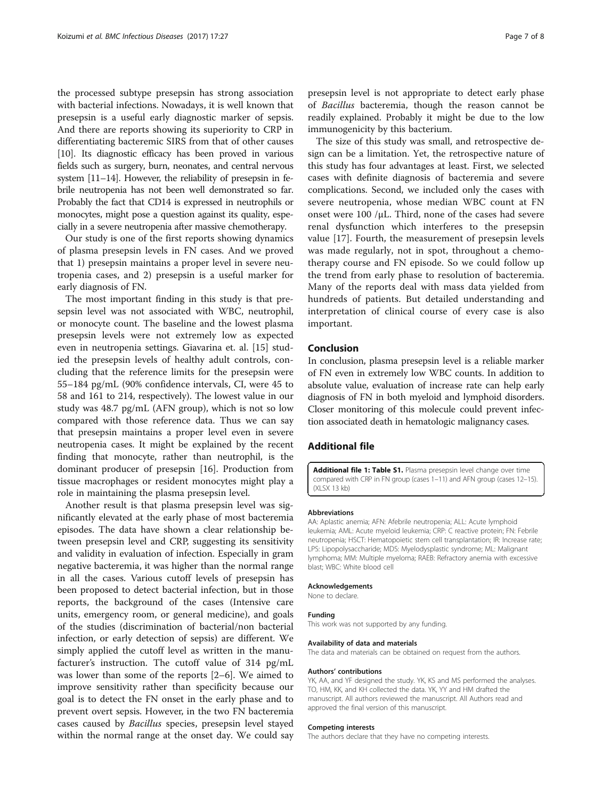<span id="page-6-0"></span>the processed subtype presepsin has strong association with bacterial infections. Nowadays, it is well known that presepsin is a useful early diagnostic marker of sepsis. And there are reports showing its superiority to CRP in differentiating bacteremic SIRS from that of other causes [[10\]](#page-7-0). Its diagnostic efficacy has been proved in various fields such as surgery, burn, neonates, and central nervous system [[11](#page-7-0)–[14](#page-7-0)]. However, the reliability of presepsin in febrile neutropenia has not been well demonstrated so far. Probably the fact that CD14 is expressed in neutrophils or monocytes, might pose a question against its quality, especially in a severe neutropenia after massive chemotherapy.

Our study is one of the first reports showing dynamics of plasma presepsin levels in FN cases. And we proved that 1) presepsin maintains a proper level in severe neutropenia cases, and 2) presepsin is a useful marker for early diagnosis of FN.

The most important finding in this study is that presepsin level was not associated with WBC, neutrophil, or monocyte count. The baseline and the lowest plasma presepsin levels were not extremely low as expected even in neutropenia settings. Giavarina et. al. [[15\]](#page-7-0) studied the presepsin levels of healthy adult controls, concluding that the reference limits for the presepsin were 55–184 pg/mL (90% confidence intervals, CI, were 45 to 58 and 161 to 214, respectively). The lowest value in our study was 48.7 pg/mL (AFN group), which is not so low compared with those reference data. Thus we can say that presepsin maintains a proper level even in severe neutropenia cases. It might be explained by the recent finding that monocyte, rather than neutrophil, is the dominant producer of presepsin [[16\]](#page-7-0). Production from tissue macrophages or resident monocytes might play a role in maintaining the plasma presepsin level.

Another result is that plasma presepsin level was significantly elevated at the early phase of most bacteremia episodes. The data have shown a clear relationship between presepsin level and CRP, suggesting its sensitivity and validity in evaluation of infection. Especially in gram negative bacteremia, it was higher than the normal range in all the cases. Various cutoff levels of presepsin has been proposed to detect bacterial infection, but in those reports, the background of the cases (Intensive care units, emergency room, or general medicine), and goals of the studies (discrimination of bacterial/non bacterial infection, or early detection of sepsis) are different. We simply applied the cutoff level as written in the manufacturer's instruction. The cutoff value of 314 pg/mL was lower than some of the reports [[2](#page-7-0)–[6](#page-7-0)]. We aimed to improve sensitivity rather than specificity because our goal is to detect the FN onset in the early phase and to prevent overt sepsis. However, in the two FN bacteremia cases caused by Bacillus species, presepsin level stayed within the normal range at the onset day. We could say presepsin level is not appropriate to detect early phase of Bacillus bacteremia, though the reason cannot be readily explained. Probably it might be due to the low immunogenicity by this bacterium.

The size of this study was small, and retrospective design can be a limitation. Yet, the retrospective nature of this study has four advantages at least. First, we selected cases with definite diagnosis of bacteremia and severe complications. Second, we included only the cases with severe neutropenia, whose median WBC count at FN onset were 100 /μL. Third, none of the cases had severe renal dysfunction which interferes to the presepsin value [[17\]](#page-7-0). Fourth, the measurement of presepsin levels was made regularly, not in spot, throughout a chemotherapy course and FN episode. So we could follow up the trend from early phase to resolution of bacteremia. Many of the reports deal with mass data yielded from hundreds of patients. But detailed understanding and interpretation of clinical course of every case is also important.

## Conclusion

In conclusion, plasma presepsin level is a reliable marker of FN even in extremely low WBC counts. In addition to absolute value, evaluation of increase rate can help early diagnosis of FN in both myeloid and lymphoid disorders. Closer monitoring of this molecule could prevent infection associated death in hematologic malignancy cases.

#### Additional file

[Additional file 1: Table S1.](dx.doi.org/10.1186/s12879-016-2116-8) Plasma presepsin level change over time compared with CRP in FN group (cases 1–11) and AFN group (cases 12–15). (XI SX 13 kb)

#### Abbreviations

AA: Aplastic anemia; AFN: Afebrile neutropenia; ALL: Acute lymphoid leukemia; AML: Acute myeloid leukemia; CRP: C reactive protein; FN: Febrile neutropenia; HSCT: Hematopoietic stem cell transplantation; IR: Increase rate; LPS: Lipopolysaccharide; MDS: Myelodysplastic syndrome; ML: Malignant lymphoma; MM: Multiple myeloma; RAEB: Refractory anemia with excessive blast; WBC: White blood cell

#### Acknowledgements

None to declare.

#### Funding

This work was not supported by any funding.

#### Availability of data and materials

The data and materials can be obtained on request from the authors.

#### Authors' contributions

YK, AA, and YF designed the study. YK, KS and MS performed the analyses. TO, HM, KK, and KH collected the data. YK, YY and HM drafted the manuscript. All authors reviewed the manuscript. All Authors read and approved the final version of this manuscript.

#### Competing interests

The authors declare that they have no competing interests.